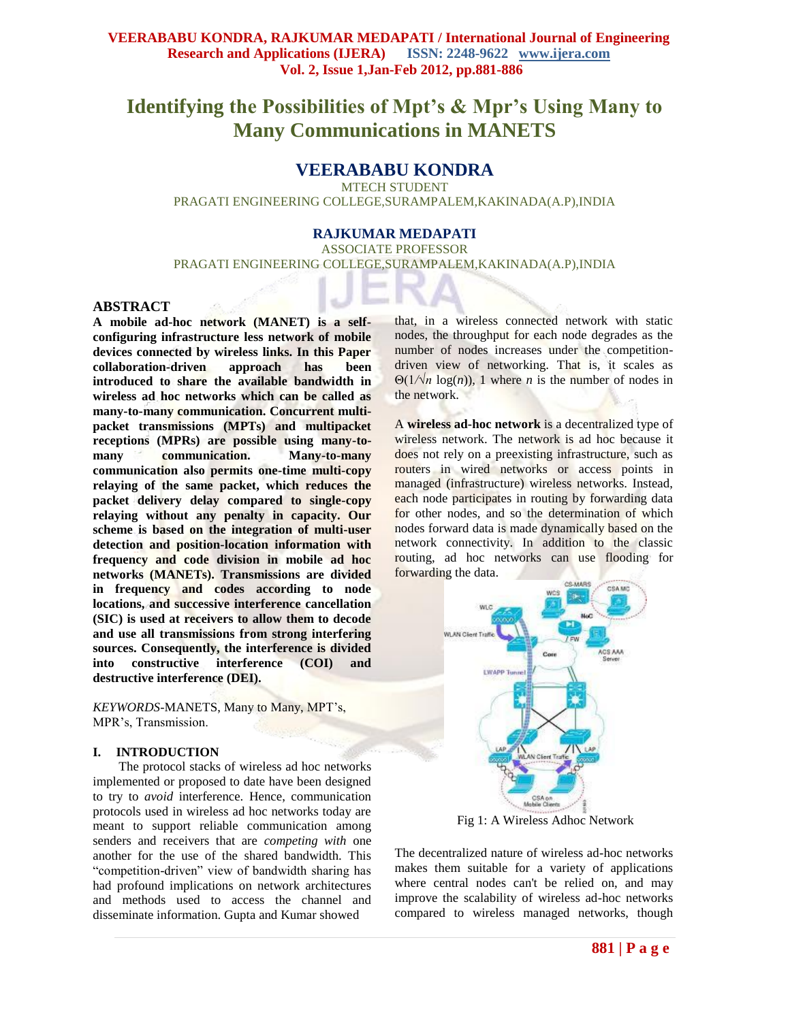# **Identifying the Possibilities of Mpt's & Mpr's Using Many to Many Communications in MANETS**

## **VEERABABU KONDRA**

MTECH STUDENT

PRAGATI ENGINEERING COLLEGE,SURAMPALEM,KAKINADA(A.P),INDIA

## **RAJKUMAR MEDAPATI**

ASSOCIATE PROFESSOR

PRAGATI ENGINEERING COLLEGE,SURAMPALEM,KAKINADA(A.P),INDIA

#### **ABSTRACT**

**A mobile ad-hoc network (MANET) is a selfconfiguring infrastructure less network of mobile devices connected by wireless links. In this Paper collaboration-driven approach has been introduced to share the available bandwidth in wireless ad hoc networks which can be called as many-to-many communication. Concurrent multipacket transmissions (MPTs) and multipacket receptions (MPRs) are possible using many-tomany communication. Many-to-many communication also permits one-time multi-copy relaying of the same packet, which reduces the packet delivery delay compared to single-copy relaying without any penalty in capacity. Our scheme is based on the integration of multi-user detection and position-location information with frequency and code division in mobile ad hoc networks (MANETs). Transmissions are divided in frequency and codes according to node locations, and successive interference cancellation (SIC) is used at receivers to allow them to decode and use all transmissions from strong interfering sources. Consequently, the interference is divided into constructive interference (COI) and destructive interference (DEI).**

*KEYWORDS-*MANETS, Many to Many, MPT's, MPR's, Transmission.

#### **I. INTRODUCTION**

The protocol stacks of wireless ad hoc networks implemented or proposed to date have been designed to try to *avoid* interference. Hence, communication protocols used in wireless ad hoc networks today are meant to support reliable communication among senders and receivers that are *competing with* one another for the use of the shared bandwidth. This "competition-driven" view of bandwidth sharing has had profound implications on network architectures and methods used to access the channel and disseminate information. Gupta and Kumar showed

that, in a wireless connected network with static nodes, the throughput for each node degrades as the number of nodes increases under the competitiondriven view of networking. That is, it scales as  $\Theta(1/\sqrt{n} \log(n))$ , 1 where *n* is the number of nodes in the network.

A **wireless ad-hoc network** is a decentralized type of [wireless network.](http://en.wikipedia.org/wiki/Wireless_network) The network is [ad hoc](http://en.wikipedia.org/wiki/Ad_hoc) because it does not rely on a preexisting infrastructure, such as [routers](http://en.wikipedia.org/wiki/Router_%28computing%29) in wired networks or [access points](http://en.wikipedia.org/wiki/Access_point) in managed (infrastructure) wireless networks. Instead, each [node](http://en.wikipedia.org/wiki/Node_%28computer_science%29) participates in routing by forwarding data for other nodes, and so the determination of which nodes forward data is made dynamically based on the network connectivity. In addition to the classic [routing,](http://en.wikipedia.org/wiki/Routing) ad hoc networks can use [flooding](http://en.wikipedia.org/wiki/Flooding_algorithm) for forwarding the data.



Fig 1: A Wireless Adhoc Network

The decentralized nature of wireless ad-hoc networks makes them suitable for a variety of applications where central nodes can't be relied on, and may improve the scalability of wireless ad-hoc networks compared to wireless managed networks, though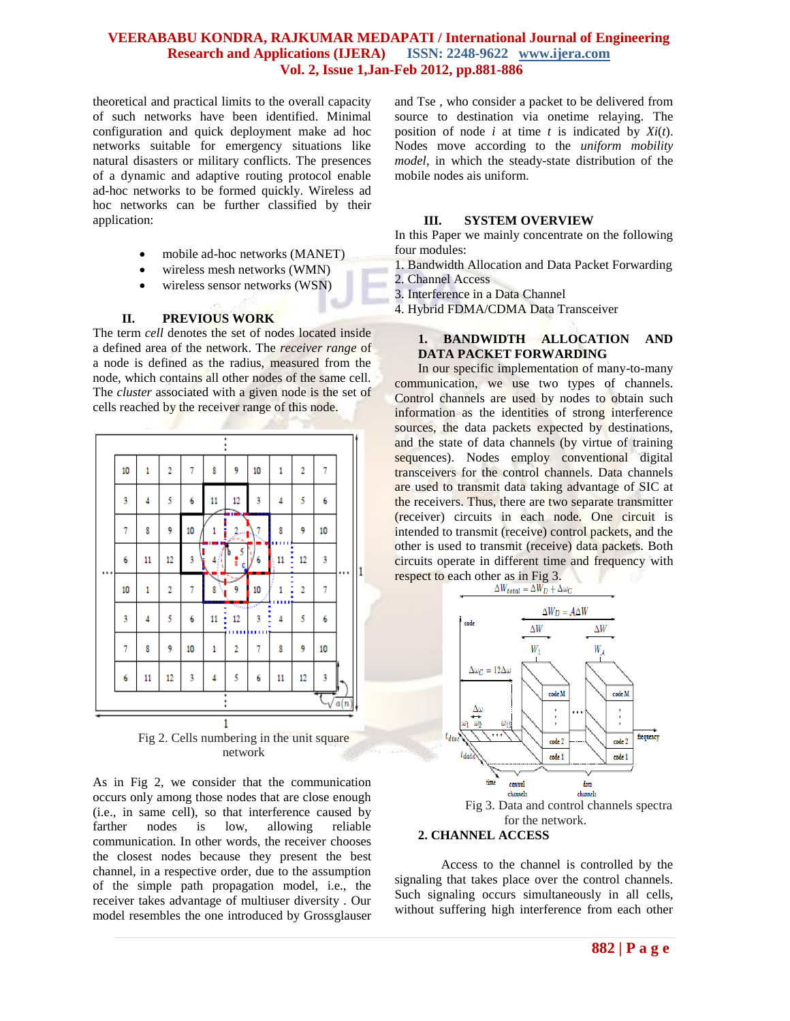theoretical and practical limits to the overall capacity of such networks have been identified. Minimal configuration and quick deployment make ad hoc networks suitable for emergency situations like natural disasters or military conflicts. The presences of a dynamic and adaptive routing protocol enable ad-hoc networks to be formed quickly. Wireless ad hoc networks can be further classified by their application:

- [mobile ad-hoc networks](http://en.wikipedia.org/wiki/Mobile_ad-hoc_networks) (MANET)
- [wireless mesh networks](http://en.wikipedia.org/wiki/Wireless_mesh_networks) (WMN)
- [wireless sensor networks](http://en.wikipedia.org/wiki/Wireless_sensor_networks) (WSN)

## **II. PREVIOUS WORK**

The term *cell* denotes the set of nodes located inside a defined area of the network. The *receiver range* of a node is defined as the radius, measured from the node, which contains all other nodes of the same cell. The *cluster* associated with a given node is the set of cells reached by the receiver range of this node.



Fig 2. Cells numbering in the unit square network

As in Fig 2, we consider that the communication occurs only among those nodes that are close enough (i.e., in same cell), so that interference caused by farther nodes is low, allowing reliable communication. In other words, the receiver chooses the closest nodes because they present the best channel, in a respective order, due to the assumption of the simple path propagation model, i.e., the receiver takes advantage of multiuser diversity . Our model resembles the one introduced by Grossglauser and Tse , who consider a packet to be delivered from source to destination via onetime relaying. The position of node *i* at time *t* is indicated by *Xi*(*t*). Nodes move according to the *uniform mobility model*, in which the steady-state distribution of the mobile nodes ais uniform.

#### **III. SYSTEM OVERVIEW**

In this Paper we mainly concentrate on the following four modules:

- 1. Bandwidth Allocation and Data Packet Forwarding
- 2. Channel Access
- 3. Interference in a Data Channel
- 4. Hybrid FDMA/CDMA Data Transceiver

#### **1. BANDWIDTH ALLOCATION AND DATA PACKET FORWARDING**

In our specific implementation of many-to-many communication, we use two types of channels. Control channels are used by nodes to obtain such information as the identities of strong interference sources, the data packets expected by destinations, and the state of data channels (by virtue of training sequences). Nodes employ conventional digital transceivers for the control channels. Data channels are used to transmit data taking advantage of SIC at the receivers. Thus, there are two separate transmitter (receiver) circuits in each node. One circuit is intended to transmit (receive) control packets, and the other is used to transmit (receive) data packets. Both circuits operate in different time and frequency with



## **2. CHANNEL ACCESS**

Access to the channel is controlled by the signaling that takes place over the control channels. Such signaling occurs simultaneously in all cells, without suffering high interference from each other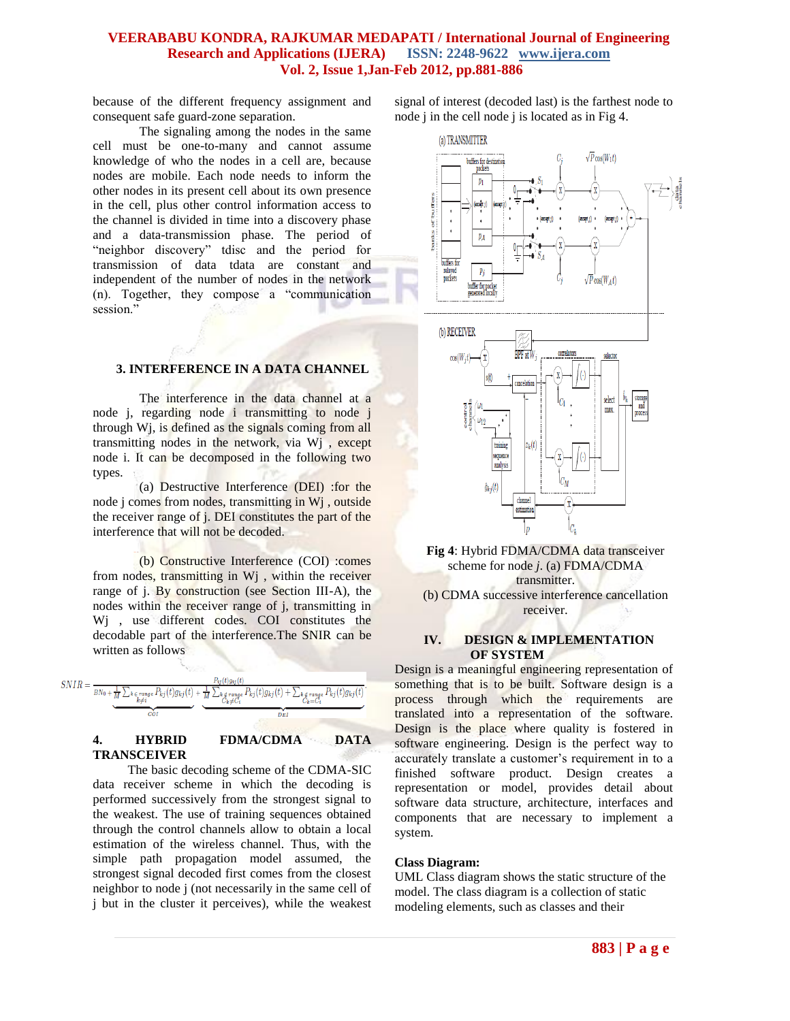because of the different frequency assignment and consequent safe guard-zone separation.

The signaling among the nodes in the same cell must be one-to-many and cannot assume knowledge of who the nodes in a cell are, because nodes are mobile. Each node needs to inform the other nodes in its present cell about its own presence in the cell, plus other control information access to the channel is divided in time into a discovery phase and a data-transmission phase. The period of "neighbor discovery" tdisc and the period for transmission of data tdata are constant and independent of the number of nodes in the network (n). Together, they compose a "communication session."

## **3. INTERFERENCE IN A DATA CHANNEL**

The interference in the data channel at a node j, regarding node i transmitting to node j through Wj, is defined as the signals coming from all transmitting nodes in the network, via Wj , except node i. It can be decomposed in the following two types.

(a) Destructive Interference (DEI) :for the node j comes from nodes, transmitting in Wj , outside the receiver range of j. DEI constitutes the part of the interference that will not be decoded.

(b) Constructive Interference (COI) :comes from nodes, transmitting in Wj , within the receiver range of j. By construction (see Section III-A), the nodes within the receiver range of j, transmitting in Wj , use different codes. COI constitutes the decodable part of the interference.The SNIR can be written as follows



## **4. HYBRID FDMA/CDMA DATA TRANSCEIVER**

The basic decoding scheme of the CDMA-SIC data receiver scheme in which the decoding is performed successively from the strongest signal to the weakest. The use of training sequences obtained through the control channels allow to obtain a local estimation of the wireless channel. Thus, with the simple path propagation model assumed, the strongest signal decoded first comes from the closest neighbor to node j (not necessarily in the same cell of j but in the cluster it perceives), while the weakest signal of interest (decoded last) is the farthest node to node *i* in the cell node *i* is located as in Fig 4.



**Fig 4**: Hybrid FDMA/CDMA data transceiver scheme for node *j*. (a) FDMA/CDMA transmitter. (b) CDMA successive interference cancellation receiver.

#### **IV. DESIGN & IMPLEMENTATION OF SYSTEM**

Design is a meaningful engineering representation of something that is to be built. Software design is a process through which the requirements are translated into a representation of the software. Design is the place where quality is fostered in software engineering. Design is the perfect way to accurately translate a customer's requirement in to a finished software product. Design creates a representation or model, provides detail about software data structure, architecture, interfaces and components that are necessary to implement a system.

#### **Class Diagram:**

UML Class diagram shows the static structure of the model. The class diagram is a collection of static modeling elements, such as classes and their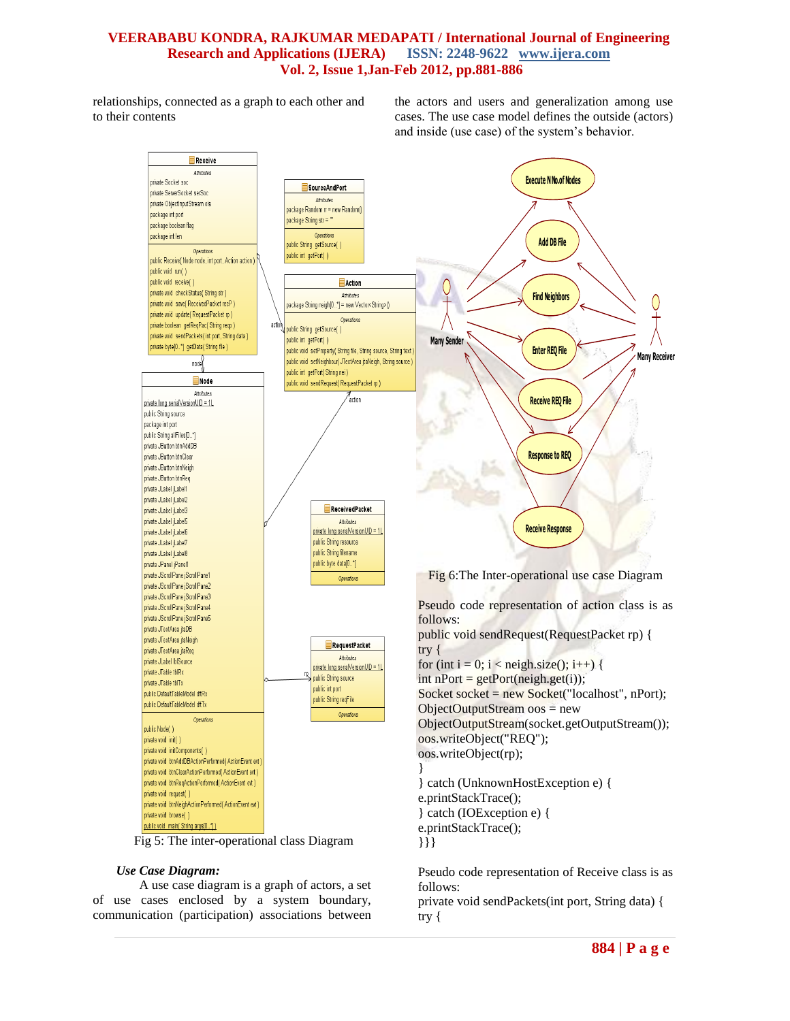relationships, connected as a graph to each other and to their contents

the actors and users and generalization among use cases. The use case model defines the outside (actors) and inside (use case) of the system's behavior.



follows:

try {

A use case diagram is a graph of actors, a set of use cases enclosed by a system boundary, communication (participation) associations between



private void sendPackets(int port, String data) {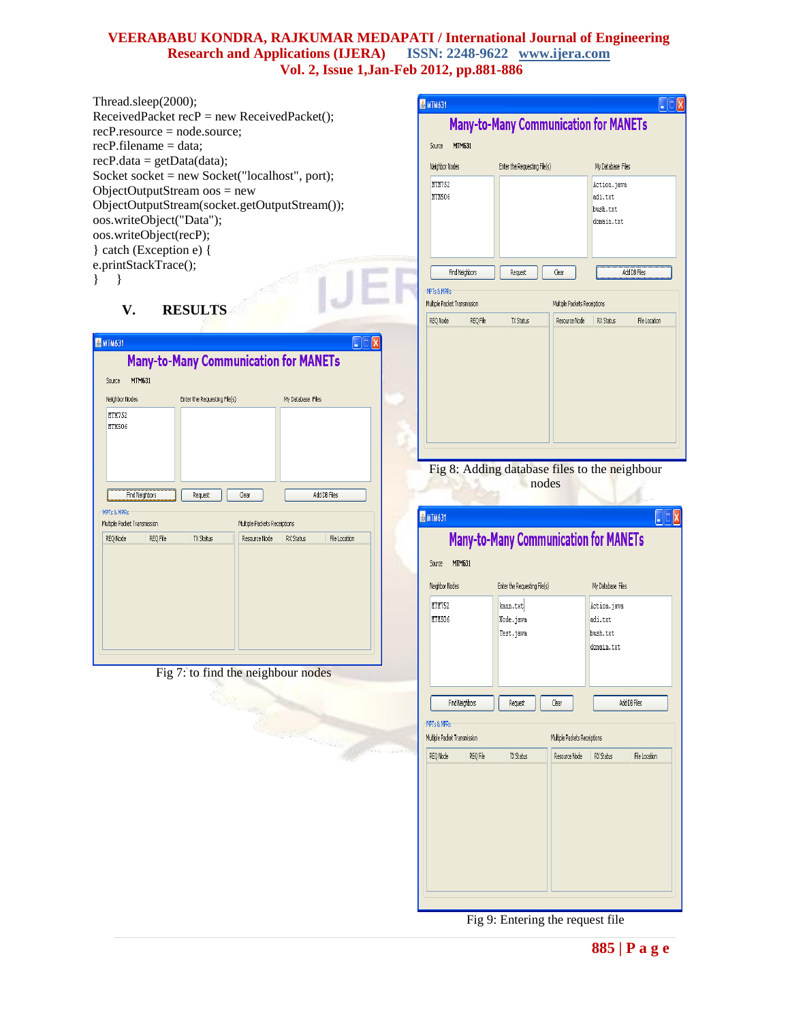| Thread.sleep(2000);                                                                                                                                                                                                                                                                                                                  | <b>EMTM631</b>                               |                                                                                                        | ∥x                                               |
|--------------------------------------------------------------------------------------------------------------------------------------------------------------------------------------------------------------------------------------------------------------------------------------------------------------------------------------|----------------------------------------------|--------------------------------------------------------------------------------------------------------|--------------------------------------------------|
| $ReceivedPacket$ rec $P = new$ ReceivedPacket();                                                                                                                                                                                                                                                                                     |                                              | <b>Many-to-Many Communication for MANETs</b>                                                           |                                                  |
| $recP$ . resource = node. source;<br>$recP$ .filename = data;                                                                                                                                                                                                                                                                        | MTM631<br>Source                             |                                                                                                        |                                                  |
| $recP.data = getData(data);$                                                                                                                                                                                                                                                                                                         | Neighbor Nodes                               | Enter the Requesting File(s)                                                                           | My Database Files                                |
| Socket socket = new Socket("localhost", port);<br>ObjectOutputStream $cos = new$<br>ObjectOutputStream(socket.getOutputStream());<br>oos.writeObject("Data");<br>oos.writeObject(recP);<br>} catch (Exception e) {                                                                                                                   | NTM752<br>NTM506                             |                                                                                                        | Action.java<br>adi.txt<br>bush.txt<br>domain.txt |
| e.printStackTrace();                                                                                                                                                                                                                                                                                                                 | Find Neighbors                               | Clear<br>Request                                                                                       | Add DB Files                                     |
| }                                                                                                                                                                                                                                                                                                                                    | MPTs & MPRs                                  |                                                                                                        |                                                  |
| V.<br><b>RESULTS</b>                                                                                                                                                                                                                                                                                                                 | Multiple Packet Transmission                 | Multiple Packets Receiptions                                                                           |                                                  |
| $\Box$                                                                                                                                                                                                                                                                                                                               | REQ Node<br>REQ File                         | TX Status<br>Resource Node                                                                             | RX Status<br>File Location                       |
| MTM631<br>Source<br>Enter the Requesting File(s)<br>My Database Files<br>Neighbor Nodes<br>MTM752<br>MTM506<br>Add DB Files<br>Find Neighbors<br>Request<br>Clear<br>MPTs & MPRs<br>Multiple Packet Transmission<br>Multiple Packets Receiptions<br>REQ File<br>TX Status<br>File Location<br>REQ Node<br>Resource Node<br>RX Status | <b>EMTM631</b><br>MTM631<br><b>Source</b>    | Fig 8: Adding database files to the neighbour<br>nodes<br><b>Many-to-Many Communication for MANETs</b> | $\Box$                                           |
|                                                                                                                                                                                                                                                                                                                                      | Neighbor Nodes                               | Enter the Requesting File(s)                                                                           | My Database Files                                |
| Fig 7: to find the neighbour nodes                                                                                                                                                                                                                                                                                                   | MTN752<br>MTN506                             | kann.txt<br>Node, java<br>Test.java                                                                    | Action.java<br>adi.txt<br>bush.txt<br>domain.txt |
|                                                                                                                                                                                                                                                                                                                                      | Find Neighbors                               | Clear<br>Request                                                                                       | Add DB Files                                     |
|                                                                                                                                                                                                                                                                                                                                      |                                              |                                                                                                        |                                                  |
|                                                                                                                                                                                                                                                                                                                                      | MPTs & MPRs:<br>Multiple Packet Transmission | Multiple Packets Receiptions                                                                           |                                                  |
| Contractor of the Contractor of the Contractor                                                                                                                                                                                                                                                                                       | REQ File<br>REQ Node                         | TX Status<br>Resource Node                                                                             | RX Status<br>File Location                       |

Fig 9: Entering the request file